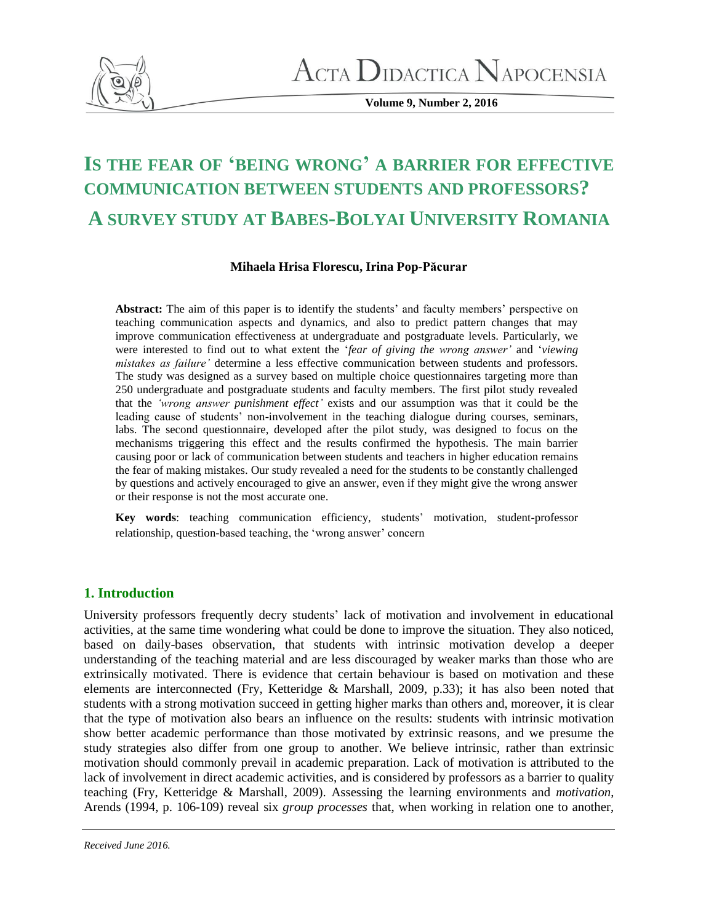

**Volume 9, Number 2, 2016**

# **IS THE FEAR OF 'BEING WRONG' A BARRIER FOR EFFECTIVE COMMUNICATION BETWEEN STUDENTS AND PROFESSORS? A SURVEY STUDY AT BABES-BOLYAI UNIVERSITY ROMANIA**

## **Mihaela Hrisa Florescu, Irina Pop-Păcurar**

**Abstract:** The aim of this paper is to identify the students' and faculty members' perspective on teaching communication aspects and dynamics, and also to predict pattern changes that may improve communication effectiveness at undergraduate and postgraduate levels. Particularly, we were interested to find out to what extent the '*fear of giving the wrong answer'* and '*viewing mistakes as failure'* determine a less effective communication between students and professors. The study was designed as a survey based on multiple choice questionnaires targeting more than 250 undergraduate and postgraduate students and faculty members. The first pilot study revealed that the *'wrong answer punishment effect'* exists and our assumption was that it could be the leading cause of students' non-involvement in the teaching dialogue during courses, seminars, labs. The second questionnaire, developed after the pilot study, was designed to focus on the mechanisms triggering this effect and the results confirmed the hypothesis. The main barrier causing poor or lack of communication between students and teachers in higher education remains the fear of making mistakes. Our study revealed a need for the students to be constantly challenged by questions and actively encouraged to give an answer, even if they might give the wrong answer or their response is not the most accurate one.

**Key words**: teaching communication efficiency, students' motivation, student-professor relationship, question-based teaching, the 'wrong answer' concern

# **1. Introduction**

University professors frequently decry students' lack of motivation and involvement in educational activities, at the same time wondering what could be done to improve the situation. They also noticed, based on daily-bases observation, that students with intrinsic motivation develop a deeper understanding of the teaching material and are less discouraged by weaker marks than those who are extrinsically motivated. There is evidence that certain behaviour is based on motivation and these elements are interconnected (Fry, Ketteridge & Marshall, 2009, p.33); it has also been noted that students with a strong motivation succeed in getting higher marks than others and, moreover, it is clear that the type of motivation also bears an influence on the results: students with intrinsic motivation show better academic performance than those motivated by extrinsic reasons, and we presume the study strategies also differ from one group to another. We believe intrinsic, rather than extrinsic motivation should commonly prevail in academic preparation. Lack of motivation is attributed to the lack of involvement in direct academic activities, and is considered by professors as a barrier to quality teaching (Fry, Ketteridge & Marshall, 2009). Assessing the learning environments and *motivation*, Arends (1994, p. 106-109) reveal six *group processes* that, when working in relation one to another,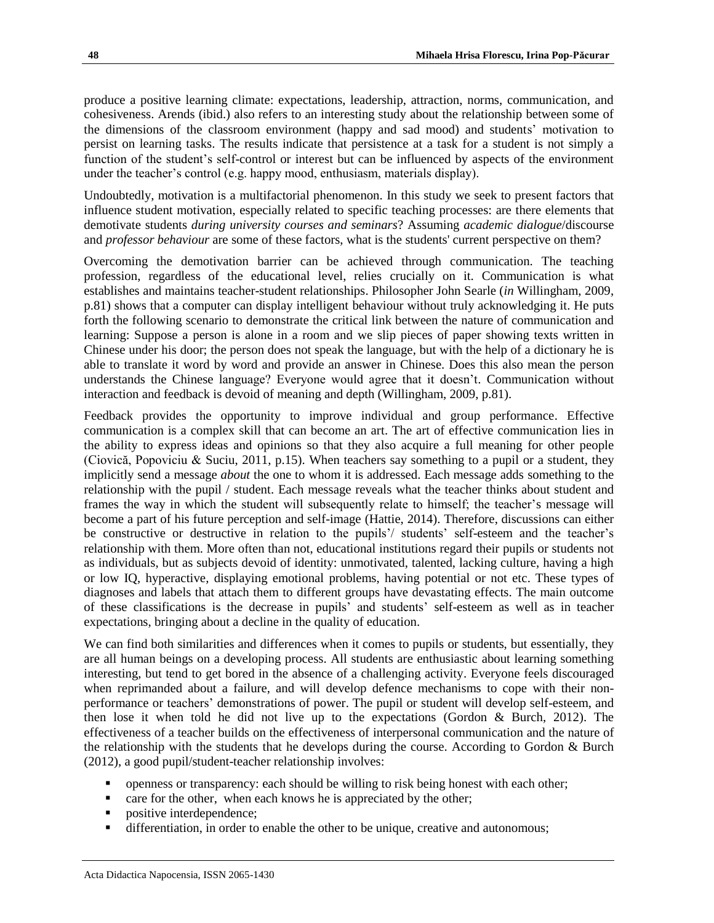produce a positive learning climate: expectations, leadership, attraction, norms, communication, and cohesiveness. Arends (ibid.) also refers to an interesting study about the relationship between some of the dimensions of the classroom environment (happy and sad mood) and students' motivation to persist on learning tasks. The results indicate that persistence at a task for a student is not simply a function of the student's self-control or interest but can be influenced by aspects of the environment under the teacher's control (e.g. happy mood, enthusiasm, materials display).

Undoubtedly, motivation is a multifactorial phenomenon. In this study we seek to present factors that influence student motivation, especially related to specific teaching processes: are there elements that demotivate students *during university courses and seminars*? Assuming *academic dialogue*/discourse and *professor behaviour* are some of these factors, what is the students' current perspective on them?

Overcoming the demotivation barrier can be achieved through communication. The teaching profession, regardless of the educational level, relies crucially on it. Communication is what establishes and maintains teacher-student relationships. Philosopher John Searle (*in* Willingham, 2009, p.81) shows that a computer can display intelligent behaviour without truly acknowledging it. He puts forth the following scenario to demonstrate the critical link between the nature of communication and learning: Suppose a person is alone in a room and we slip pieces of paper showing texts written in Chinese under his door; the person does not speak the language, but with the help of a dictionary he is able to translate it word by word and provide an answer in Chinese. Does this also mean the person understands the Chinese language? Everyone would agree that it doesn't. Communication without interaction and feedback is devoid of meaning and depth (Willingham, 2009, p.81).

Feedback provides the opportunity to improve individual and group performance. Effective communication is a complex skill that can become an art. The art of effective communication lies in the ability to express ideas and opinions so that they also acquire a full meaning for other people (Ciovică, Popoviciu & Suciu, 2011, p.15). When teachers say something to a pupil or a student, they implicitly send a message *about* the one to whom it is addressed. Each message adds something to the relationship with the pupil / student. Each message reveals what the teacher thinks about student and frames the way in which the student will subsequently relate to himself; the teacher's message will become a part of his future perception and self-image (Hattie, 2014). Therefore, discussions can either be constructive or destructive in relation to the pupils'/ students' self-esteem and the teacher's relationship with them. More often than not, educational institutions regard their pupils or students not as individuals, but as subjects devoid of identity: unmotivated, talented, lacking culture, having a high or low IQ, hyperactive, displaying emotional problems, having potential or not etc. These types of diagnoses and labels that attach them to different groups have devastating effects. The main outcome of these classifications is the decrease in pupils' and students' self-esteem as well as in teacher expectations, bringing about a decline in the quality of education.

We can find both similarities and differences when it comes to pupils or students, but essentially, they are all human beings on a developing process. All students are enthusiastic about learning something interesting, but tend to get bored in the absence of a challenging activity. Everyone feels discouraged when reprimanded about a failure, and will develop defence mechanisms to cope with their nonperformance or teachers' demonstrations of power. The pupil or student will develop self-esteem, and then lose it when told he did not live up to the expectations (Gordon & Burch, 2012). The effectiveness of a teacher builds on the effectiveness of interpersonal communication and the nature of the relationship with the students that he develops during the course. According to Gordon & Burch (2012), a good pupil/student-teacher relationship involves:

- openness or transparency: each should be willing to risk being honest with each other;
- $\blacksquare$  care for the other, when each knows he is appreciated by the other;
- positive interdependence;
- differentiation, in order to enable the other to be unique, creative and autonomous;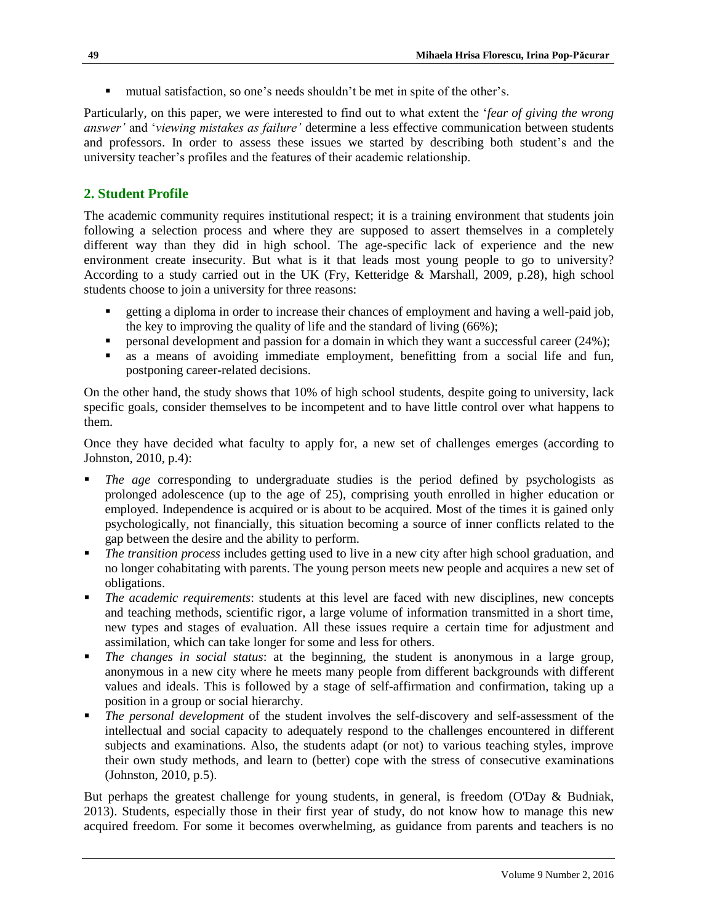mutual satisfaction, so one's needs shouldn't be met in spite of the other's.

Particularly, on this paper, we were interested to find out to what extent the '*fear of giving the wrong answer'* and '*viewing mistakes as failure'* determine a less effective communication between students and professors. In order to assess these issues we started by describing both student's and the university teacher's profiles and the features of their academic relationship.

# **2. Student Profile**

The academic community requires institutional respect; it is a training environment that students join following a selection process and where they are supposed to assert themselves in a completely different way than they did in high school. The age-specific lack of experience and the new environment create insecurity. But what is it that leads most young people to go to university? According to a study carried out in the UK (Fry, Ketteridge & Marshall, 2009, p.28), high school students choose to join a university for three reasons:

- getting a diploma in order to increase their chances of employment and having a well-paid job, the key to improving the quality of life and the standard of living (66%);
- **Personal development and passion for a domain in which they want a successful career (24%);**
- as a means of avoiding immediate employment, benefitting from a social life and fun, postponing career-related decisions.

On the other hand, the study shows that 10% of high school students, despite going to university, lack specific goals, consider themselves to be incompetent and to have little control over what happens to them.

Once they have decided what faculty to apply for, a new set of challenges emerges (according to Johnston, 2010, p.4):

- *The age* corresponding to undergraduate studies is the period defined by psychologists as prolonged adolescence (up to the age of 25), comprising youth enrolled in higher education or employed. Independence is acquired or is about to be acquired. Most of the times it is gained only psychologically, not financially, this situation becoming a source of inner conflicts related to the gap between the desire and the ability to perform.
- *The transition process* includes getting used to live in a new city after high school graduation, and no longer cohabitating with parents. The young person meets new people and acquires a new set of obligations.
- *The academic requirements*: students at this level are faced with new disciplines, new concepts and teaching methods, scientific rigor, a large volume of information transmitted in a short time, new types and stages of evaluation. All these issues require a certain time for adjustment and assimilation, which can take longer for some and less for others.
- *The changes in social status*: at the beginning, the student is anonymous in a large group, anonymous in a new city where he meets many people from different backgrounds with different values and ideals. This is followed by a stage of self-affirmation and confirmation, taking up a position in a group or social hierarchy.
- *The personal development* of the student involves the self-discovery and self-assessment of the intellectual and social capacity to adequately respond to the challenges encountered in different subjects and examinations. Also, the students adapt (or not) to various teaching styles, improve their own study methods, and learn to (better) cope with the stress of consecutive examinations (Johnston, 2010, p.5).

But perhaps the greatest challenge for young students, in general, is freedom (O'Day & Budniak, 2013). Students, especially those in their first year of study, do not know how to manage this new acquired freedom. For some it becomes overwhelming, as guidance from parents and teachers is no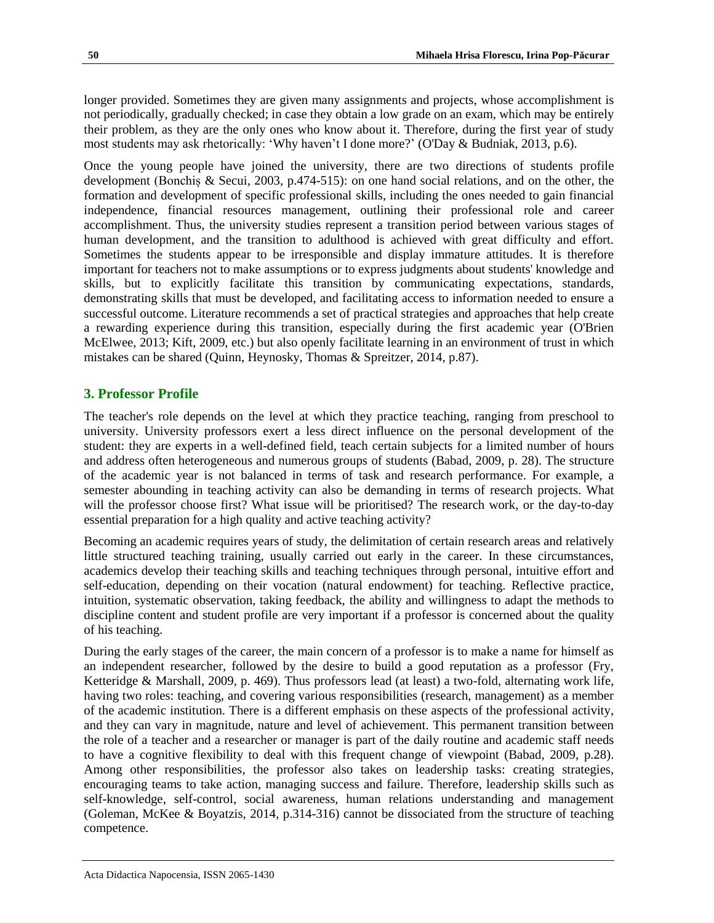longer provided. Sometimes they are given many assignments and projects, whose accomplishment is not periodically, gradually checked; in case they obtain a low grade on an exam, which may be entirely their problem, as they are the only ones who know about it. Therefore, during the first year of study most students may ask rhetorically: 'Why haven't I done more?' (O'Day & Budniak, 2013, p.6).

Once the young people have joined the university, there are two directions of students profile development (Bonchiș & Secui, 2003, p.474-515): on one hand social relations, and on the other, the formation and development of specific professional skills, including the ones needed to gain financial independence, financial resources management, outlining their professional role and career accomplishment. Thus, the university studies represent a transition period between various stages of human development, and the transition to adulthood is achieved with great difficulty and effort. Sometimes the students appear to be irresponsible and display immature attitudes. It is therefore important for teachers not to make assumptions or to express judgments about students' knowledge and skills, but to explicitly facilitate this transition by communicating expectations, standards, demonstrating skills that must be developed, and facilitating access to information needed to ensure a successful outcome. Literature recommends a set of practical strategies and approaches that help create a rewarding experience during this transition, especially during the first academic year (O'Brien McElwee, 2013; Kift, 2009, etc.) but also openly facilitate learning in an environment of trust in which mistakes can be shared (Quinn, Heynosky, Thomas & Spreitzer, 2014, p.87).

## **3. Professor Profile**

The teacher's role depends on the level at which they practice teaching, ranging from preschool to university. University professors exert a less direct influence on the personal development of the student: they are experts in a well-defined field, teach certain subjects for a limited number of hours and address often heterogeneous and numerous groups of students (Babad, 2009, p. 28). The structure of the academic year is not balanced in terms of task and research performance. For example, a semester abounding in teaching activity can also be demanding in terms of research projects. What will the professor choose first? What issue will be prioritised? The research work, or the day-to-day essential preparation for a high quality and active teaching activity?

Becoming an academic requires years of study, the delimitation of certain research areas and relatively little structured teaching training, usually carried out early in the career. In these circumstances, academics develop their teaching skills and teaching techniques through personal, intuitive effort and self-education, depending on their vocation (natural endowment) for teaching. Reflective practice, intuition, systematic observation, taking feedback, the ability and willingness to adapt the methods to discipline content and student profile are very important if a professor is concerned about the quality of his teaching.

During the early stages of the career, the main concern of a professor is to make a name for himself as an independent researcher, followed by the desire to build a good reputation as a professor (Fry, Ketteridge & Marshall, 2009, p. 469). Thus professors lead (at least) a two-fold, alternating work life, having two roles: teaching, and covering various responsibilities (research, management) as a member of the academic institution. There is a different emphasis on these aspects of the professional activity, and they can vary in magnitude, nature and level of achievement. This permanent transition between the role of a teacher and a researcher or manager is part of the daily routine and academic staff needs to have a cognitive flexibility to deal with this frequent change of viewpoint (Babad, 2009, p.28). Among other responsibilities, the professor also takes on leadership tasks: creating strategies, encouraging teams to take action, managing success and failure. Therefore, leadership skills such as self-knowledge, self-control, social awareness, human relations understanding and management (Goleman, McKee & Boyatzis, 2014, p.314-316) cannot be dissociated from the structure of teaching competence.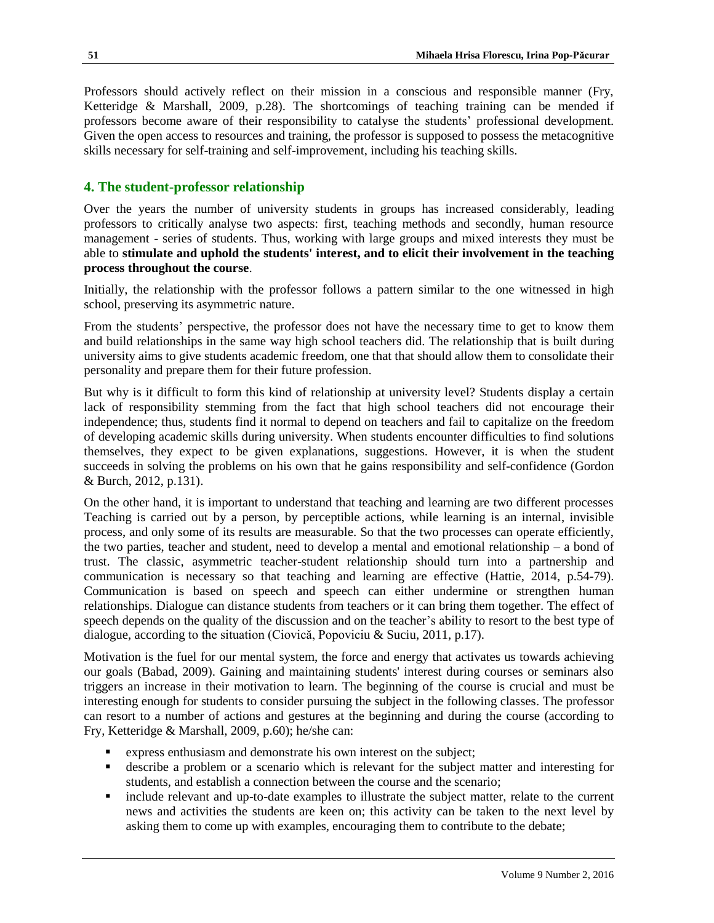Professors should actively reflect on their mission in a conscious and responsible manner (Fry, Ketteridge & Marshall, 2009, p.28). The shortcomings of teaching training can be mended if professors become aware of their responsibility to catalyse the students' professional development. Given the open access to resources and training, the professor is supposed to possess the metacognitive skills necessary for self-training and self-improvement, including his teaching skills.

## **4. The student-professor relationship**

Over the years the number of university students in groups has increased considerably, leading professors to critically analyse two aspects: first, teaching methods and secondly, human resource management - series of students. Thus, working with large groups and mixed interests they must be able to **stimulate and uphold the students' interest, and to elicit their involvement in the teaching process throughout the course**.

Initially, the relationship with the professor follows a pattern similar to the one witnessed in high school, preserving its asymmetric nature.

From the students' perspective, the professor does not have the necessary time to get to know them and build relationships in the same way high school teachers did. The relationship that is built during university aims to give students academic freedom, one that that should allow them to consolidate their personality and prepare them for their future profession.

But why is it difficult to form this kind of relationship at university level? Students display a certain lack of responsibility stemming from the fact that high school teachers did not encourage their independence; thus, students find it normal to depend on teachers and fail to capitalize on the freedom of developing academic skills during university. When students encounter difficulties to find solutions themselves, they expect to be given explanations, suggestions. However, it is when the student succeeds in solving the problems on his own that he gains responsibility and self-confidence (Gordon & Burch, 2012, p.131).

On the other hand, it is important to understand that teaching and learning are two different processes Teaching is carried out by a person, by perceptible actions, while learning is an internal, invisible process, and only some of its results are measurable. So that the two processes can operate efficiently, the two parties, teacher and student, need to develop a mental and emotional relationship – a bond of trust. The classic, asymmetric teacher-student relationship should turn into a partnership and communication is necessary so that teaching and learning are effective (Hattie, 2014, p.54-79). Communication is based on speech and speech can either undermine or strengthen human relationships. Dialogue can distance students from teachers or it can bring them together. The effect of speech depends on the quality of the discussion and on the teacher's ability to resort to the best type of dialogue, according to the situation (Ciovică, Popoviciu & Suciu, 2011, p.17).

Motivation is the fuel for our mental system, the force and energy that activates us towards achieving our goals (Babad, 2009). Gaining and maintaining students' interest during courses or seminars also triggers an increase in their motivation to learn. The beginning of the course is crucial and must be interesting enough for students to consider pursuing the subject in the following classes. The professor can resort to a number of actions and gestures at the beginning and during the course (according to Fry, Ketteridge & Marshall, 2009, p.60); he/she can:

- express enthusiasm and demonstrate his own interest on the subject;
- describe a problem or a scenario which is relevant for the subject matter and interesting for students, and establish a connection between the course and the scenario;
- include relevant and up-to-date examples to illustrate the subject matter, relate to the current news and activities the students are keen on; this activity can be taken to the next level by asking them to come up with examples, encouraging them to contribute to the debate;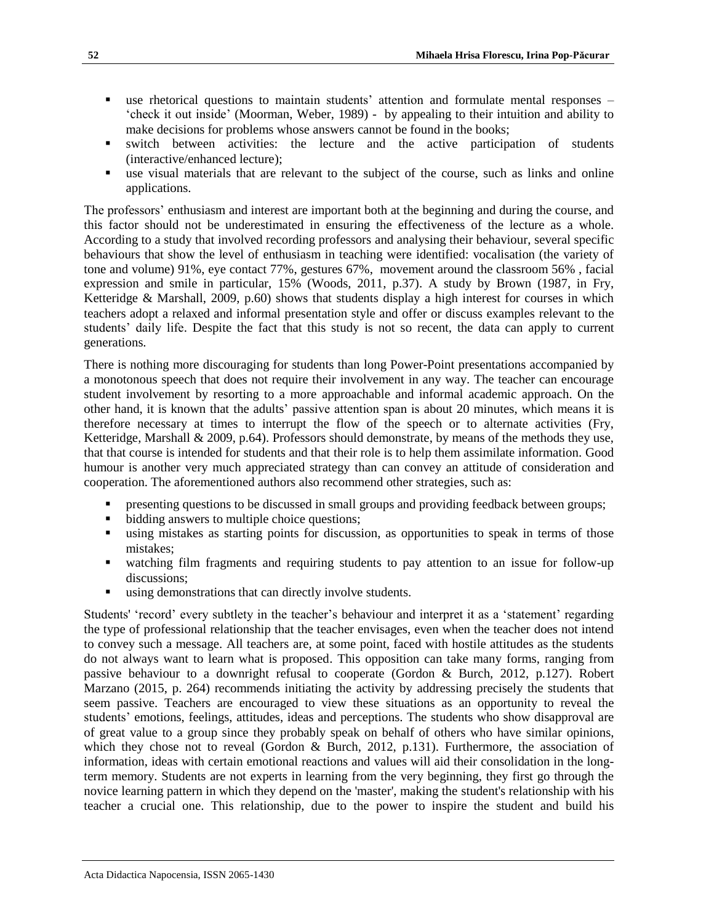- use rhetorical questions to maintain students' attention and formulate mental responses 'check it out inside' (Moorman, Weber, 1989) - by appealing to their intuition and ability to make decisions for problems whose answers cannot be found in the books;
- switch between activities: the lecture and the active participation of students (interactive/enhanced lecture);
- use visual materials that are relevant to the subject of the course, such as links and online applications.

The professors' enthusiasm and interest are important both at the beginning and during the course, and this factor should not be underestimated in ensuring the effectiveness of the lecture as a whole. According to a study that involved recording professors and analysing their behaviour, several specific behaviours that show the level of enthusiasm in teaching were identified: vocalisation (the variety of tone and volume) 91%, eye contact 77%, gestures 67%, movement around the classroom 56% , facial expression and smile in particular, 15% (Woods, 2011, p.37). A study by Brown (1987, in Fry, Ketteridge & Marshall, 2009, p.60) shows that students display a high interest for courses in which teachers adopt a relaxed and informal presentation style and offer or discuss examples relevant to the students' daily life. Despite the fact that this study is not so recent, the data can apply to current generations.

There is nothing more discouraging for students than long Power-Point presentations accompanied by a monotonous speech that does not require their involvement in any way. The teacher can encourage student involvement by resorting to a more approachable and informal academic approach. On the other hand, it is known that the adults' passive attention span is about 20 minutes, which means it is therefore necessary at times to interrupt the flow of the speech or to alternate activities (Fry, Ketteridge, Marshall & 2009, p.64). Professors should demonstrate, by means of the methods they use, that that course is intended for students and that their role is to help them assimilate information. Good humour is another very much appreciated strategy than can convey an attitude of consideration and cooperation. The aforementioned authors also recommend other strategies, such as:

- presenting questions to be discussed in small groups and providing feedback between groups;
- bidding answers to multiple choice questions;
- using mistakes as starting points for discussion, as opportunities to speak in terms of those mistakes;
- watching film fragments and requiring students to pay attention to an issue for follow-up discussions;
- using demonstrations that can directly involve students.

Students' 'record' every subtlety in the teacher's behaviour and interpret it as a 'statement' regarding the type of professional relationship that the teacher envisages, even when the teacher does not intend to convey such a message. All teachers are, at some point, faced with hostile attitudes as the students do not always want to learn what is proposed. This opposition can take many forms, ranging from passive behaviour to a downright refusal to cooperate (Gordon & Burch, 2012, p.127). Robert Marzano (2015, p. 264) recommends initiating the activity by addressing precisely the students that seem passive. Teachers are encouraged to view these situations as an opportunity to reveal the students' emotions, feelings, attitudes, ideas and perceptions. The students who show disapproval are of great value to a group since they probably speak on behalf of others who have similar opinions, which they chose not to reveal (Gordon & Burch, 2012, p.131). Furthermore, the association of information, ideas with certain emotional reactions and values will aid their consolidation in the longterm memory. Students are not experts in learning from the very beginning, they first go through the novice learning pattern in which they depend on the 'master', making the student's relationship with his teacher a crucial one. This relationship, due to the power to inspire the student and build his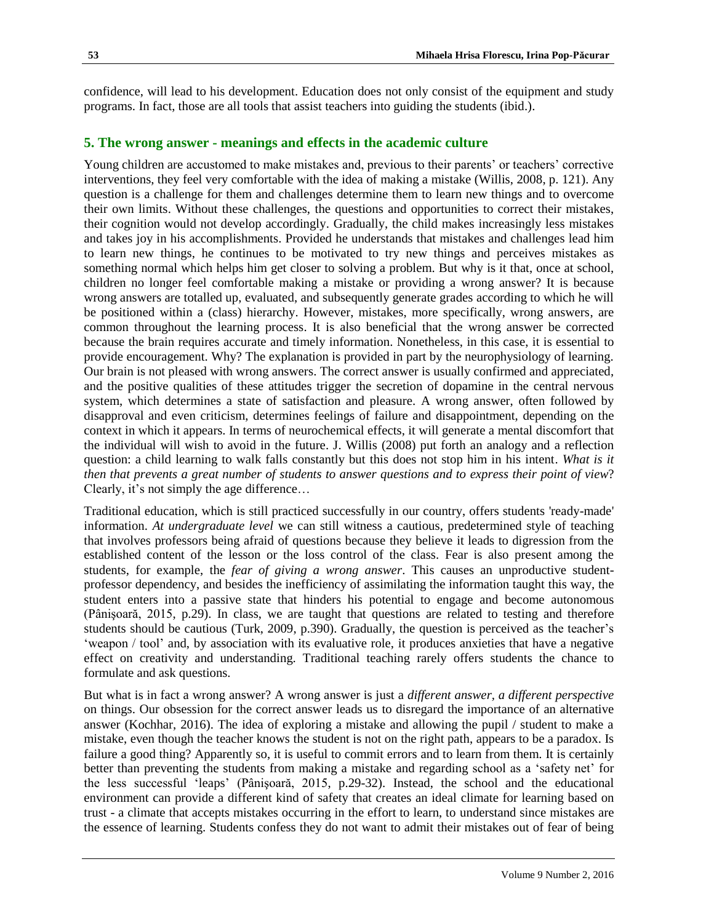confidence, will lead to his development. Education does not only consist of the equipment and study programs. In fact, those are all tools that assist teachers into guiding the students (ibid.).

## **5. The wrong answer - meanings and effects in the academic culture**

Young children are accustomed to make mistakes and, previous to their parents' or teachers' corrective interventions, they feel very comfortable with the idea of making a mistake (Willis, 2008, p. 121). Any question is a challenge for them and challenges determine them to learn new things and to overcome their own limits. Without these challenges, the questions and opportunities to correct their mistakes, their cognition would not develop accordingly. Gradually, the child makes increasingly less mistakes and takes joy in his accomplishments. Provided he understands that mistakes and challenges lead him to learn new things, he continues to be motivated to try new things and perceives mistakes as something normal which helps him get closer to solving a problem. But why is it that, once at school, children no longer feel comfortable making a mistake or providing a wrong answer? It is because wrong answers are totalled up, evaluated, and subsequently generate grades according to which he will be positioned within a (class) hierarchy. However, mistakes, more specifically, wrong answers, are common throughout the learning process. It is also beneficial that the wrong answer be corrected because the brain requires accurate and timely information. Nonetheless, in this case, it is essential to provide encouragement. Why? The explanation is provided in part by the neurophysiology of learning. Our brain is not pleased with wrong answers. The correct answer is usually confirmed and appreciated, and the positive qualities of these attitudes trigger the secretion of dopamine in the central nervous system, which determines a state of satisfaction and pleasure. A wrong answer, often followed by disapproval and even criticism, determines feelings of failure and disappointment, depending on the context in which it appears. In terms of neurochemical effects, it will generate a mental discomfort that the individual will wish to avoid in the future. J. Willis (2008) put forth an analogy and a reflection question: a child learning to walk falls constantly but this does not stop him in his intent. *What is it then that prevents a great number of students to answer questions and to express their point of view*? Clearly, it's not simply the age difference…

Traditional education, which is still practiced successfully in our country, offers students 'ready-made' information. *At undergraduate level* we can still witness a cautious, predetermined style of teaching that involves professors being afraid of questions because they believe it leads to digression from the established content of the lesson or the loss control of the class. Fear is also present among the students, for example, the *fear of giving a wrong answer*. This causes an unproductive studentprofessor dependency, and besides the inefficiency of assimilating the information taught this way, the student enters into a passive state that hinders his potential to engage and become autonomous (Pânişoară, 2015, p.29). In class, we are taught that questions are related to testing and therefore students should be cautious (Turk, 2009, p.390). Gradually, the question is perceived as the teacher's 'weapon / tool' and, by association with its evaluative role, it produces anxieties that have a negative effect on creativity and understanding. Traditional teaching rarely offers students the chance to formulate and ask questions.

But what is in fact a wrong answer? A wrong answer is just a *different answer, a different perspective* on things. Our obsession for the correct answer leads us to disregard the importance of an alternative answer (Kochhar, 2016). The idea of exploring a mistake and allowing the pupil / student to make a mistake, even though the teacher knows the student is not on the right path, appears to be a paradox. Is failure a good thing? Apparently so, it is useful to commit errors and to learn from them. It is certainly better than preventing the students from making a mistake and regarding school as a 'safety net' for the less successful 'leaps' (Pânişoară, 2015, p.29-32). Instead, the school and the educational environment can provide a different kind of safety that creates an ideal climate for learning based on trust - a climate that accepts mistakes occurring in the effort to learn, to understand since mistakes are the essence of learning. Students confess they do not want to admit their mistakes out of fear of being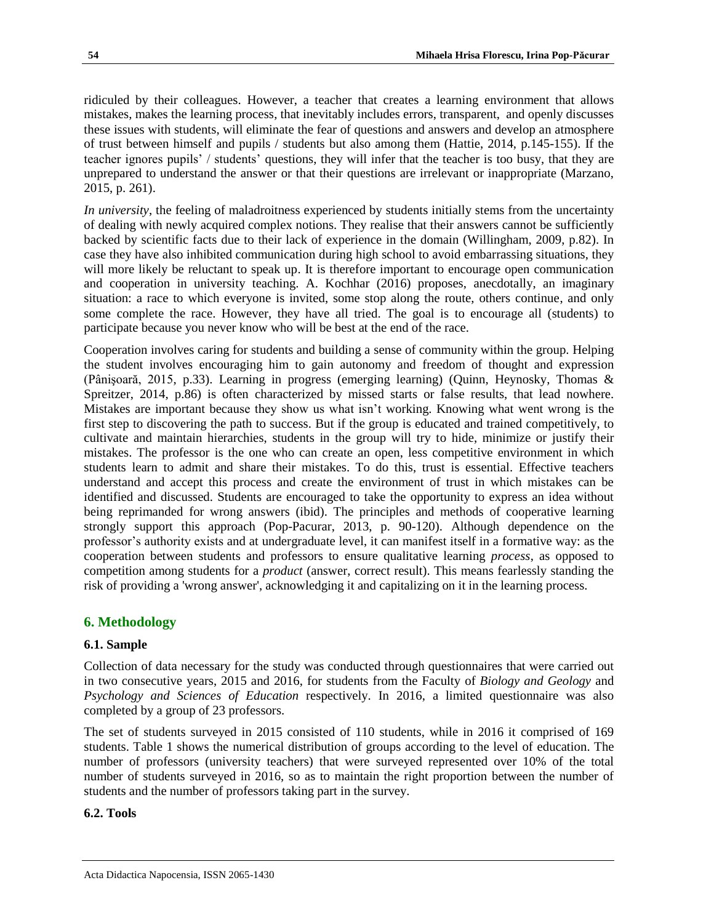ridiculed by their colleagues. However, a teacher that creates a learning environment that allows mistakes, makes the learning process, that inevitably includes errors, transparent, and openly discusses these issues with students, will eliminate the fear of questions and answers and develop an atmosphere of trust between himself and pupils / students but also among them (Hattie, 2014, p.145-155). If the teacher ignores pupils' / students' questions, they will infer that the teacher is too busy, that they are unprepared to understand the answer or that their questions are irrelevant or inappropriate (Marzano, 2015, p. 261).

*In university*, the feeling of maladroitness experienced by students initially stems from the uncertainty of dealing with newly acquired complex notions. They realise that their answers cannot be sufficiently backed by scientific facts due to their lack of experience in the domain (Willingham, 2009, p.82). In case they have also inhibited communication during high school to avoid embarrassing situations, they will more likely be reluctant to speak up. It is therefore important to encourage open communication and cooperation in university teaching. A. Kochhar (2016) proposes, anecdotally, an imaginary situation: a race to which everyone is invited, some stop along the route, others continue, and only some complete the race. However, they have all tried. The goal is to encourage all (students) to participate because you never know who will be best at the end of the race.

Cooperation involves caring for students and building a sense of community within the group. Helping the student involves encouraging him to gain autonomy and freedom of thought and expression (Pânişoară, 2015, p.33). Learning in progress (emerging learning) (Quinn, Heynosky, Thomas & Spreitzer, 2014, p.86) is often characterized by missed starts or false results, that lead nowhere. Mistakes are important because they show us what isn't working. Knowing what went wrong is the first step to discovering the path to success. But if the group is educated and trained competitively, to cultivate and maintain hierarchies, students in the group will try to hide, minimize or justify their mistakes. The professor is the one who can create an open, less competitive environment in which students learn to admit and share their mistakes. To do this, trust is essential. Effective teachers understand and accept this process and create the environment of trust in which mistakes can be identified and discussed. Students are encouraged to take the opportunity to express an idea without being reprimanded for wrong answers (ibid). The principles and methods of cooperative learning strongly support this approach (Pop-Pacurar, 2013, p. 90-120). Although dependence on the professor's authority exists and at undergraduate level, it can manifest itself in a formative way: as the cooperation between students and professors to ensure qualitative learning *process*, as opposed to competition among students for a *product* (answer, correct result). This means fearlessly standing the risk of providing a 'wrong answer', acknowledging it and capitalizing on it in the learning process.

# **6. Methodology**

## **6.1. Sample**

Collection of data necessary for the study was conducted through questionnaires that were carried out in two consecutive years, 2015 and 2016, for students from the Faculty of *Biology and Geology* and *Psychology and Sciences of Education* respectively. In 2016, a limited questionnaire was also completed by a group of 23 professors.

The set of students surveyed in 2015 consisted of 110 students, while in 2016 it comprised of 169 students. Table 1 shows the numerical distribution of groups according to the level of education. The number of professors (university teachers) that were surveyed represented over 10% of the total number of students surveyed in 2016, so as to maintain the right proportion between the number of students and the number of professors taking part in the survey.

## **6.2. Tools**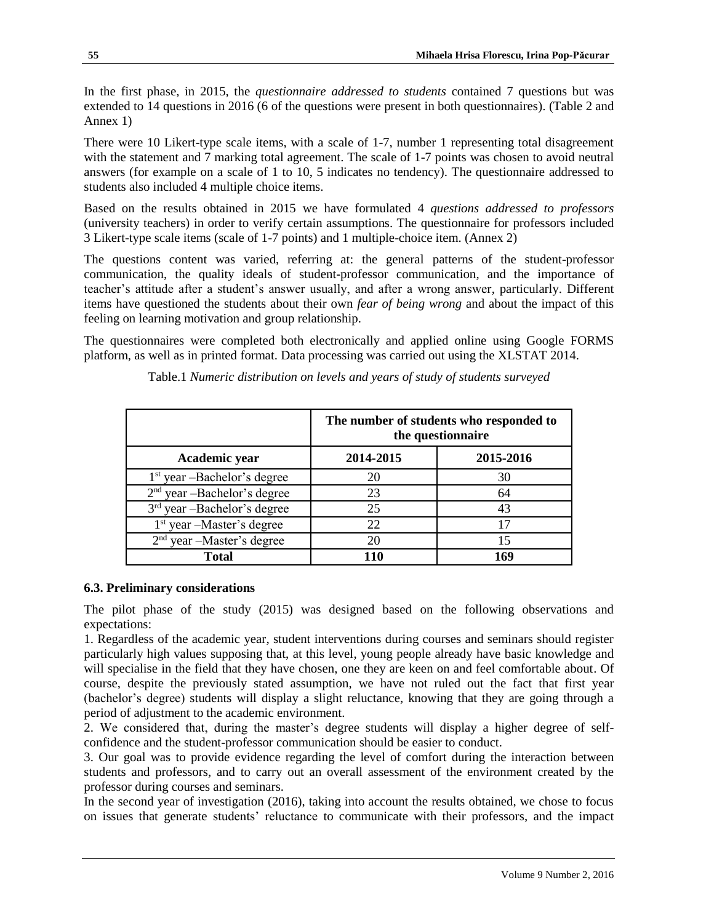In the first phase, in 2015, the *questionnaire addressed to students* contained 7 questions but was extended to 14 questions in 2016 (6 of the questions were present in both questionnaires). (Table 2 and Annex 1)

There were 10 Likert-type scale items, with a scale of 1-7, number 1 representing total disagreement with the statement and 7 marking total agreement. The scale of 1-7 points was chosen to avoid neutral answers (for example on a scale of 1 to 10, 5 indicates no tendency). The questionnaire addressed to students also included 4 multiple choice items.

Based on the results obtained in 2015 we have formulated 4 *questions addressed to professors* (university teachers) in order to verify certain assumptions. The questionnaire for professors included 3 Likert-type scale items (scale of 1-7 points) and 1 multiple-choice item. (Annex 2)

The questions content was varied, referring at: the general patterns of the student-professor communication, the quality ideals of student-professor communication, and the importance of teacher's attitude after a student's answer usually, and after a wrong answer, particularly. Different items have questioned the students about their own *fear of being wrong* and about the impact of this feeling on learning motivation and group relationship.

The questionnaires were completed both electronically and applied online using Google FORMS platform, as well as in printed format. Data processing was carried out using the XLSTAT 2014.

|                               | The number of students who responded to<br>the questionnaire |           |  |  |  |  |
|-------------------------------|--------------------------------------------------------------|-----------|--|--|--|--|
| Academic year                 | 2014-2015                                                    | 2015-2016 |  |  |  |  |
| $1st$ year -Bachelor's degree | 20                                                           | 30        |  |  |  |  |
| $2nd$ year -Bachelor's degree | 23                                                           | 64        |  |  |  |  |
| $3rd$ year -Bachelor's degree | 25                                                           | 43        |  |  |  |  |
| $1st$ year –Master's degree   | 22                                                           |           |  |  |  |  |
| $2nd$ year -Master's degree   | 20                                                           | 15        |  |  |  |  |
| Total                         | 110                                                          | 169       |  |  |  |  |

Table.1 *Numeric distribution on levels and years of study of students surveyed*

#### **6.3. Preliminary considerations**

The pilot phase of the study (2015) was designed based on the following observations and expectations:

1. Regardless of the academic year, student interventions during courses and seminars should register particularly high values supposing that, at this level, young people already have basic knowledge and will specialise in the field that they have chosen, one they are keen on and feel comfortable about. Of course, despite the previously stated assumption, we have not ruled out the fact that first year (bachelor's degree) students will display a slight reluctance, knowing that they are going through a period of adjustment to the academic environment.

2. We considered that, during the master's degree students will display a higher degree of selfconfidence and the student-professor communication should be easier to conduct.

3. Our goal was to provide evidence regarding the level of comfort during the interaction between students and professors, and to carry out an overall assessment of the environment created by the professor during courses and seminars.

In the second year of investigation (2016), taking into account the results obtained, we chose to focus on issues that generate students' reluctance to communicate with their professors, and the impact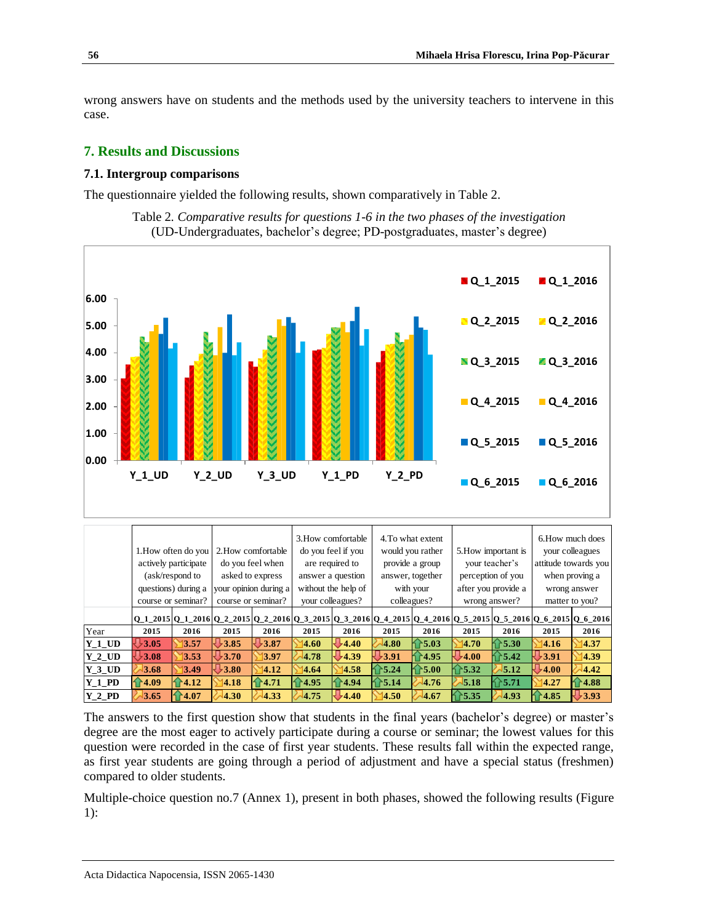wrong answers have on students and the methods used by the university teachers to intervene in this case.

### **7. Results and Discussions**

#### **7.1. Intergroup comparisons**

The questionnaire yielded the following results, shown comparatively in Table 2.



Table 2*. Comparative results for questions 1-6 in the two phases of the investigation* (UD-Undergraduates, bachelor's degree; PD-postgraduates, master's degree)

|          |                     |                      |                       |                    | 3. How comfortable                                                                                            |                     | 4. To what extent |                    |                               |                     | 6. How much does |                      |  |
|----------|---------------------|----------------------|-----------------------|--------------------|---------------------------------------------------------------------------------------------------------------|---------------------|-------------------|--------------------|-------------------------------|---------------------|------------------|----------------------|--|
|          | 1. How often do you |                      |                       | 2. How comfortable |                                                                                                               | do you feel if you  | would you rather  |                    |                               | 5. How important is | your colleagues  |                      |  |
|          |                     | actively participate |                       | do you feel when   | are required to                                                                                               |                     |                   | provide a group    |                               | your teacher's      |                  | attitude towards you |  |
|          |                     | (ask/respond to      | asked to express      |                    |                                                                                                               | answer a question   |                   | answer, together   |                               | perception of you   |                  | when proving a       |  |
|          |                     | questions) during a  | your opinion during a |                    |                                                                                                               | without the help of |                   | with your          |                               | after you provide a |                  | wrong answer         |  |
|          |                     | course or seminar?   | course or seminar?    |                    | your colleagues?                                                                                              |                     | colleagues?       |                    | wrong answer?                 |                     | matter to you?   |                      |  |
|          |                     |                      |                       |                    | 0 1 2015 0 1 2016 0 2 2015 0 2 2016 0 3 2015 0 3 2016 0 4 2015 0 4 2016 0 5 2015 0 5 2016 0 6 2015 0 6 2016 0 |                     |                   |                    |                               |                     |                  |                      |  |
| Year     | 2015                | 2016                 | 2015                  | 2016               | 2015                                                                                                          | 2016                | 2015              | 2016               | 2015                          | 2016                | 2015             | 2016                 |  |
| $Y$ 1 UD | 3.05                | 13.57                | 3.85                  | 3.87               | 14.60                                                                                                         | $-4.40$             | 4.80              | ↑5.03              | 14.70                         | 5.30                | 4.16             | 14.37                |  |
| $Y$ 2 UD | 9.08                | 13.53                | $\bigcup$ 3.70        | 13.97              | 4.78                                                                                                          | $-4.39$             | $-3.91$           | ↑4.95              | $\overline{\phantom{0}}$ 4.00 | 5.42                | $+3.91$          | 14.39                |  |
| $Y_3$ UD | 3.68                | 13.49                | $+3.80$               | 14.12              | 4.64                                                                                                          | 4.58                | 5.24              | $\bf \hat{m}$ 5.00 | 5.32                          | 5.12                | $+4.00$          | 4.42                 |  |
| $Y$ 1 PD | 4.09                | $\bigcap 4.12$       | 4.18                  | 4.71               | 4.95                                                                                                          | 4.94                | 5.14              | 4.76               | 5.18                          | 5.71                | 4.27             | $-4.88$              |  |
| $Y$ 2 PD | 3.65                | $\bf{14.07}$         | 4.30                  | 4.33               | 4.75                                                                                                          | 4.40                | 4.50              | 4.67               | 5.35                          | 4.93                | 4.85             | 3.93                 |  |

The answers to the first question show that students in the final years (bachelor's degree) or master's degree are the most eager to actively participate during a course or seminar; the lowest values for this question were recorded in the case of first year students. These results fall within the expected range, as first year students are going through a period of adjustment and have a special status (freshmen) compared to older students.

Multiple-choice question no.7 (Annex 1), present in both phases, showed the following results (Figure 1):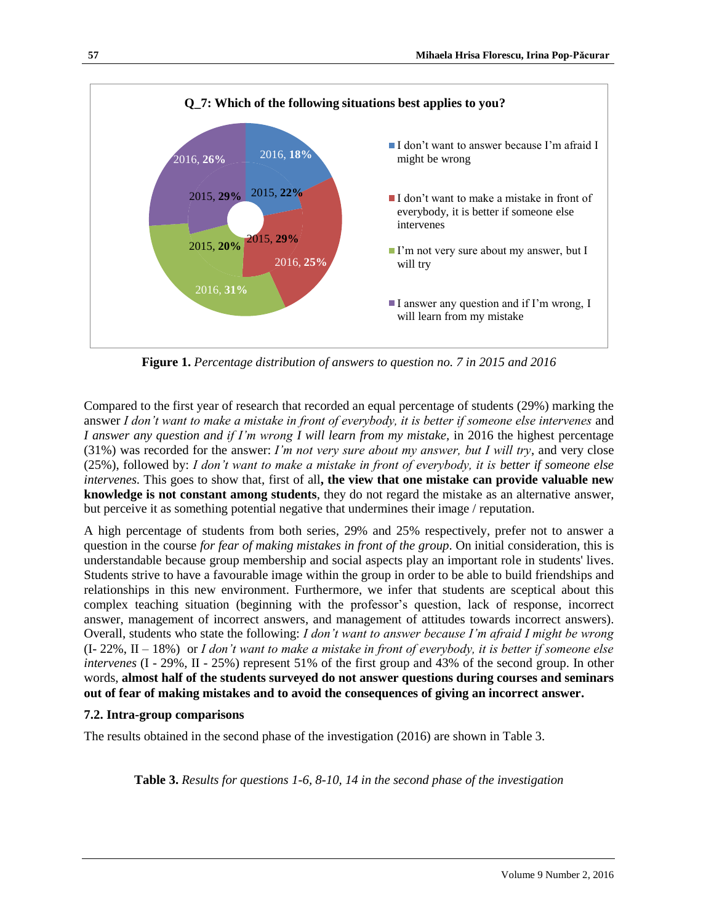

**Figure 1.** *Percentage distribution of answers to question no. 7 in 2015 and 2016*

Compared to the first year of research that recorded an equal percentage of students (29%) marking the answer *I don't want to make a mistake in front of everybody, it is better if someone else intervenes* and *I answer any question and if I'm wrong I will learn from my mistake,* in 2016 the highest percentage (31%) was recorded for the answer: *I'm not very sure about my answer, but I will try*, and very close (25%), followed by: *I don't want to make a mistake in front of everybody, it is better if someone else intervenes.* This goes to show that, first of all**, the view that one mistake can provide valuable new knowledge is not constant among students**, they do not regard the mistake as an alternative answer, but perceive it as something potential negative that undermines their image / reputation.

A high percentage of students from both series, 29% and 25% respectively, prefer not to answer a question in the course *for fear of making mistakes in front of the group*. On initial consideration, this is understandable because group membership and social aspects play an important role in students' lives. Students strive to have a favourable image within the group in order to be able to build friendships and relationships in this new environment. Furthermore, we infer that students are sceptical about this complex teaching situation (beginning with the professor's question, lack of response, incorrect answer, management of incorrect answers, and management of attitudes towards incorrect answers). Overall, students who state the following: *I don't want to answer because I'm afraid I might be wrong* (I- 22%, II – 18%) or *I don't want to make a mistake in front of everybody, it is better if someone else intervenes* (I - 29%, II - 25%) represent 51% of the first group and 43% of the second group. In other words, **almost half of the students surveyed do not answer questions during courses and seminars out of fear of making mistakes and to avoid the consequences of giving an incorrect answer.**

# **7.2. Intra-group comparisons**

The results obtained in the second phase of the investigation (2016) are shown in Table 3.

**Table 3.** *Results for questions 1-6, 8-10, 14 in the second phase of the investigation*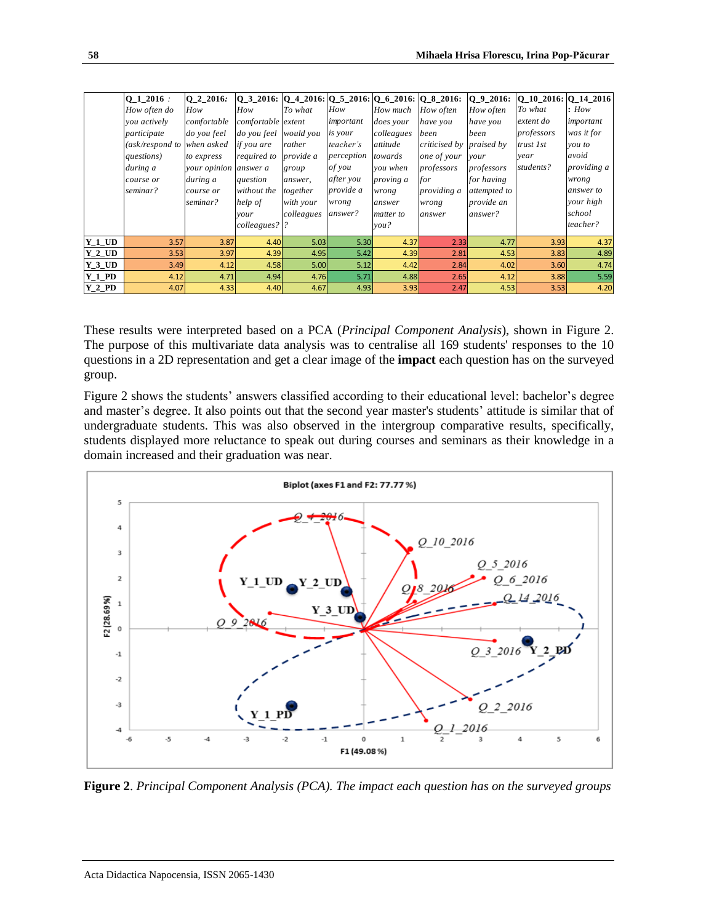|          | $0 1 2016$ :               | O 2 2016:             |                       |            |            |                  | $Q_3$ 2016: $Q_4$ 2016: $Q_5$ 2016: $Q_6$ 2016: $Q_8$ 2016: $Q_9$ 2016: |              | $\vert$ O 10 2016: O 14 2016 |             |
|----------|----------------------------|-----------------------|-----------------------|------------|------------|------------------|-------------------------------------------------------------------------|--------------|------------------------------|-------------|
|          | How often do               | How                   | How                   | To what    | How        | How much         | How often                                                               | How often    | To what                      | How         |
|          | you actively               | comfortable           | comfortable extent    |            | important  | <i>does</i> your | have you                                                                | have you     | extent do                    | important   |
|          | participate                | do you feel           | do you feel would you |            | is your    | colleagues       | been                                                                    | been         | professors                   | was it for  |
|          | (ask/respond to when asked |                       | if you are            | rather     | teacher's  | attitude         | criticised by praised by                                                |              | trust 1st                    | you to      |
|          | questions)                 | to express            | required to           | provide a  | perception | towards          | one of your                                                             | your         | year                         | avoid       |
|          | during a                   | your opinion answer a |                       | group      | of you     | you when         | professors                                                              | professors   | students?                    | providing a |
|          | course or                  | during a              | question              | answer,    | after you  | proving a        | for                                                                     | for having   |                              | wrong       |
|          | seminar?                   | course or             | without the           | together   | provide a  | wrong            | providing a                                                             | attempted to |                              | answer to   |
|          |                            | seminar?              | help of               | with your  | wrong      | answer           | wrong                                                                   | provide an   |                              | your high   |
|          |                            |                       | your                  | colleagues | answer?    | matter to        | answer                                                                  | answer?      |                              | school      |
|          |                            |                       | colleagues?  ?        |            |            | you?             |                                                                         |              |                              | teacher?    |
| $Y_1$ UD | 3.57                       | 3.87                  | 4.40                  | 5.03       | 5.30       | 4.37             | 2.33                                                                    | 4.77         | 3.93                         | 4.37        |
| $Y_2UD$  | 3.53                       | 3.97                  | 4.39                  | 4.95       | 5.42       | 4.39             | 2.81                                                                    | 4.53         | 3.83                         | 4.89        |
| $Y_3$ UD | 3.49                       | 4.12                  | 4.58                  | 5.00       | 5.12       | 4.42             | 2.84                                                                    | 4.02         | 3.60                         | 4.74        |
| $Y_1_P$  | 4.12                       | 4.71                  | 4.94                  | 4.76       | 5.71       | 4.88             | 2.65                                                                    | 4.12         | 3.88                         | 5.59        |
| $Y_2_P$  | 4.07                       | 4.33                  | 4.40                  | 4.67       | 4.93       | 3.93             | 2.47                                                                    | 4.53         | 3.53                         | 4.20        |

These results were interpreted based on a PCA (*Principal Component Analysis*), shown in Figure 2. The purpose of this multivariate data analysis was to centralise all 169 students' responses to the 10 questions in a 2D representation and get a clear image of the **impact** each question has on the surveyed group.

Figure 2 shows the students' answers classified according to their educational level: bachelor's degree and master's degree. It also points out that the second year master's students' attitude is similar that of undergraduate students. This was also observed in the intergroup comparative results, specifically, students displayed more reluctance to speak out during courses and seminars as their knowledge in a domain increased and their graduation was near.



**Figure 2**. *Principal Component Analysis (PCA). The impact each question has on the surveyed groups*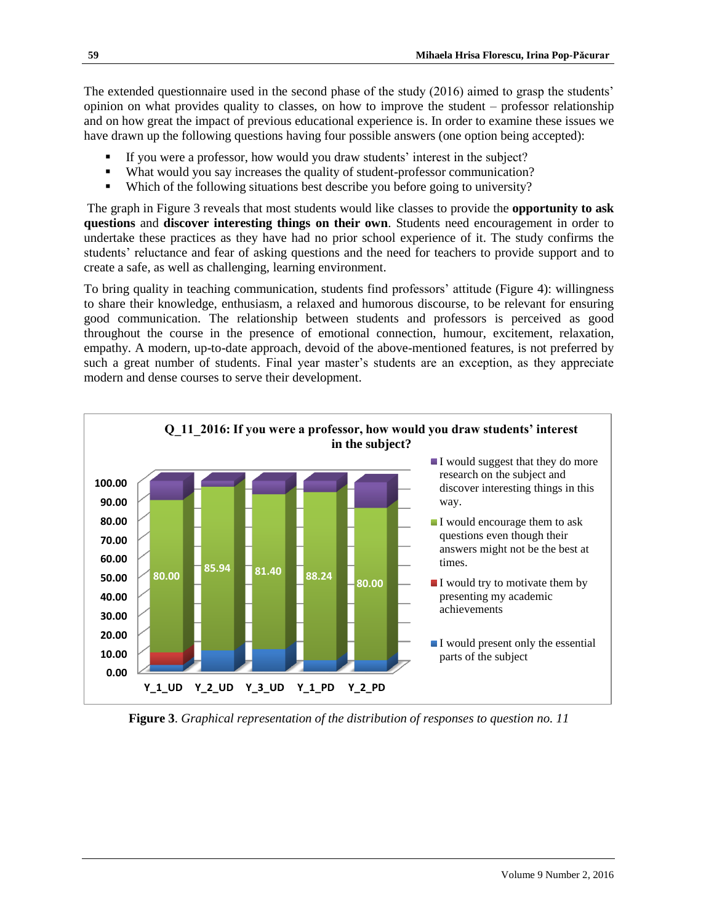The extended questionnaire used in the second phase of the study (2016) aimed to grasp the students' opinion on what provides quality to classes, on how to improve the student – professor relationship and on how great the impact of previous educational experience is. In order to examine these issues we have drawn up the following questions having four possible answers (one option being accepted):

- If you were a professor, how would you draw students' interest in the subject?
- What would you say increases the quality of student-professor communication?
- Which of the following situations best describe you before going to university?

The graph in Figure 3 reveals that most students would like classes to provide the **opportunity to ask questions** and **discover interesting things on their own**. Students need encouragement in order to undertake these practices as they have had no prior school experience of it. The study confirms the students' reluctance and fear of asking questions and the need for teachers to provide support and to create a safe, as well as challenging, learning environment.

To bring quality in teaching communication, students find professors' attitude (Figure 4): willingness to share their knowledge, enthusiasm, a relaxed and humorous discourse, to be relevant for ensuring good communication. The relationship between students and professors is perceived as good throughout the course in the presence of emotional connection, humour, excitement, relaxation, empathy. A modern, up-to-date approach, devoid of the above-mentioned features, is not preferred by such a great number of students. Final year master's students are an exception, as they appreciate modern and dense courses to serve their development.



**Figure 3**. *Graphical representation of the distribution of responses to question no. 11*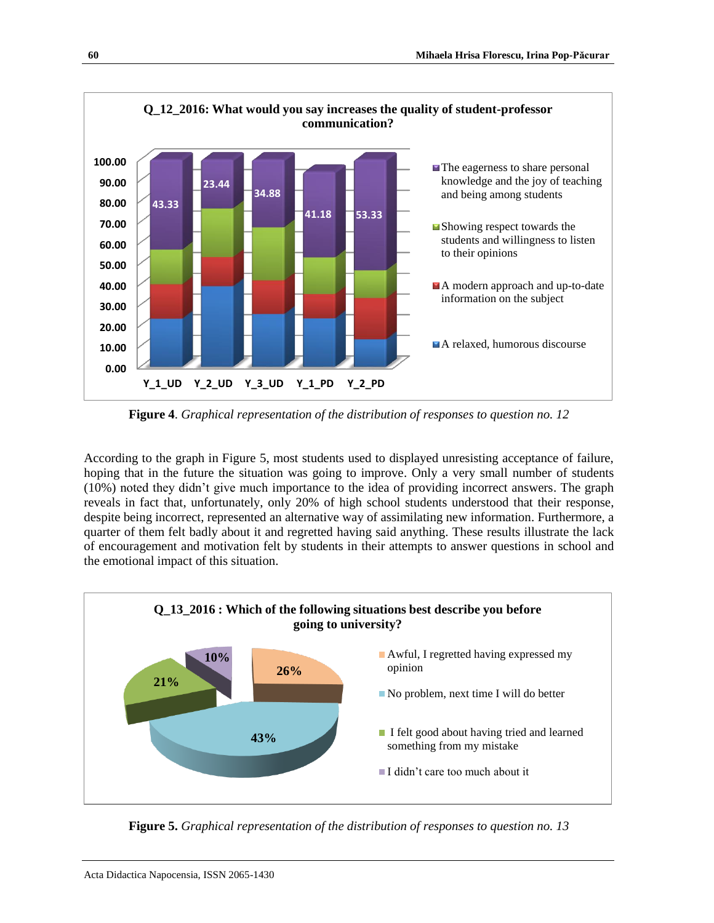

**Figure 4**. *Graphical representation of the distribution of responses to question no. 12*

According to the graph in Figure 5, most students used to displayed unresisting acceptance of failure, hoping that in the future the situation was going to improve. Only a very small number of students (10%) noted they didn't give much importance to the idea of providing incorrect answers. The graph reveals in fact that, unfortunately, only 20% of high school students understood that their response, despite being incorrect, represented an alternative way of assimilating new information. Furthermore, a quarter of them felt badly about it and regretted having said anything. These results illustrate the lack of encouragement and motivation felt by students in their attempts to answer questions in school and the emotional impact of this situation.



**Figure 5.** *Graphical representation of the distribution of responses to question no. 13*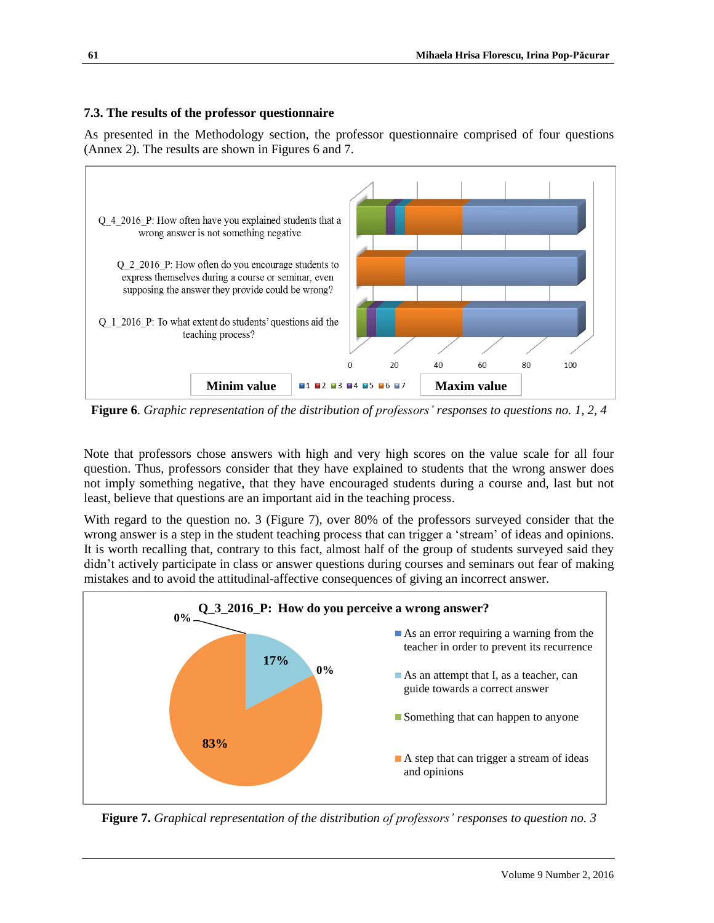## **7.3. The results of the professor questionnaire**

As presented in the Methodology section, the professor questionnaire comprised of four questions (Annex 2). The results are shown in Figures 6 and 7.



**Figure 6**. *Graphic representation of the distribution of professors' responses to questions no. 1, 2, 4*

Note that professors chose answers with high and very high scores on the value scale for all four question. Thus, professors consider that they have explained to students that the wrong answer does not imply something negative, that they have encouraged students during a course and, last but not least, believe that questions are an important aid in the teaching process.

With regard to the question no. 3 (Figure 7), over 80% of the professors surveyed consider that the wrong answer is a step in the student teaching process that can trigger a 'stream' of ideas and opinions. It is worth recalling that, contrary to this fact, almost half of the group of students surveyed said they didn't actively participate in class or answer questions during courses and seminars out fear of making mistakes and to avoid the attitudinal-affective consequences of giving an incorrect answer.



**Figure 7.** *Graphical representation of the distribution of professors' responses to question no. 3*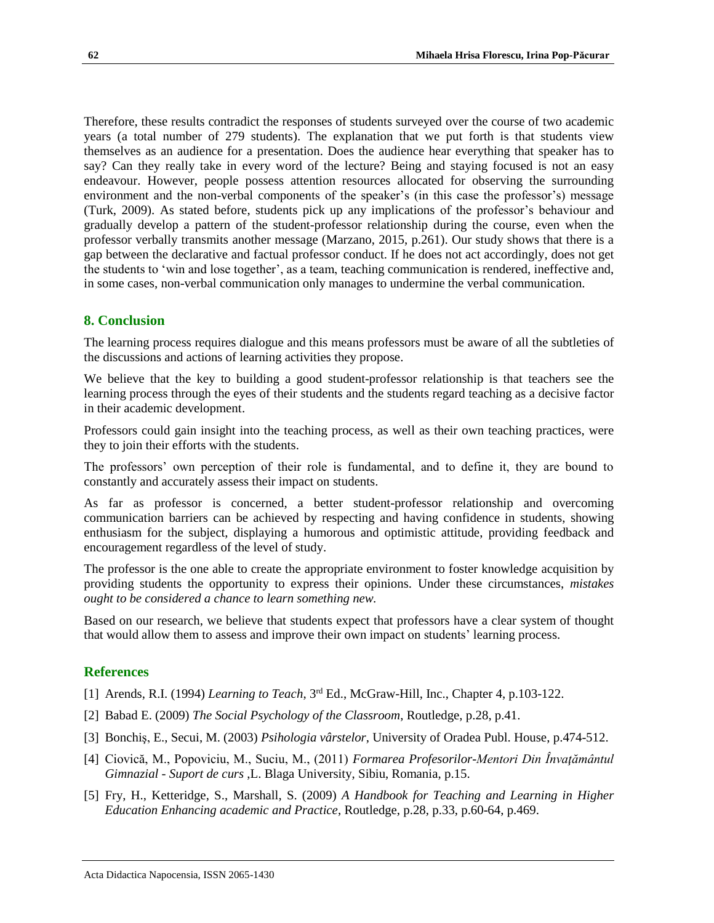Therefore, these results contradict the responses of students surveyed over the course of two academic years (a total number of 279 students). The explanation that we put forth is that students view themselves as an audience for a presentation. Does the audience hear everything that speaker has to say? Can they really take in every word of the lecture? Being and staying focused is not an easy endeavour. However, people possess attention resources allocated for observing the surrounding environment and the non-verbal components of the speaker's (in this case the professor's) message (Turk, 2009). As stated before, students pick up any implications of the professor's behaviour and gradually develop a pattern of the student-professor relationship during the course, even when the professor verbally transmits another message (Marzano, 2015, p.261). Our study shows that there is a gap between the declarative and factual professor conduct. If he does not act accordingly, does not get the students to 'win and lose together', as a team, teaching communication is rendered, ineffective and, in some cases, non-verbal communication only manages to undermine the verbal communication.

## **8. Conclusion**

The learning process requires dialogue and this means professors must be aware of all the subtleties of the discussions and actions of learning activities they propose.

We believe that the key to building a good student-professor relationship is that teachers see the learning process through the eyes of their students and the students regard teaching as a decisive factor in their academic development.

Professors could gain insight into the teaching process, as well as their own teaching practices, were they to join their efforts with the students.

The professors' own perception of their role is fundamental, and to define it, they are bound to constantly and accurately assess their impact on students.

As far as professor is concerned, a better student-professor relationship and overcoming communication barriers can be achieved by respecting and having confidence in students, showing enthusiasm for the subject, displaying a humorous and optimistic attitude, providing feedback and encouragement regardless of the level of study.

The professor is the one able to create the appropriate environment to foster knowledge acquisition by providing students the opportunity to express their opinions. Under these circumstances, *mistakes ought to be considered a chance to learn something new.*

Based on our research, we believe that students expect that professors have a clear system of thought that would allow them to assess and improve their own impact on students' learning process.

## **References**

- [1] Arends, R.I. (1994) *Learning to Teach*, 3rd Ed., McGraw-Hill, Inc., Chapter 4, p.103-122.
- [2] Babad E. (2009) *The Social Psychology of the Classroom*, Routledge, p.28, p.41.
- [3] Bonchiş, E., Secui, M. (2003) *Psihologia vârstelor*, University of Oradea Publ. House, p.474-512.
- [4] Ciovică, M., Popoviciu, M., Suciu, M., (2011) *Formarea Profesorilor-Mentori Din Învaţământul Gimnazial - Suport de curs* ,L. Blaga University, Sibiu, Romania, p.15.
- [5] Fry, H., Ketteridge, S., Marshall, S. (2009) *A Handbook for Teaching and Learning in Higher Education Enhancing academic and Practice*, Routledge, p.28, p.33, p.60-64, p.469.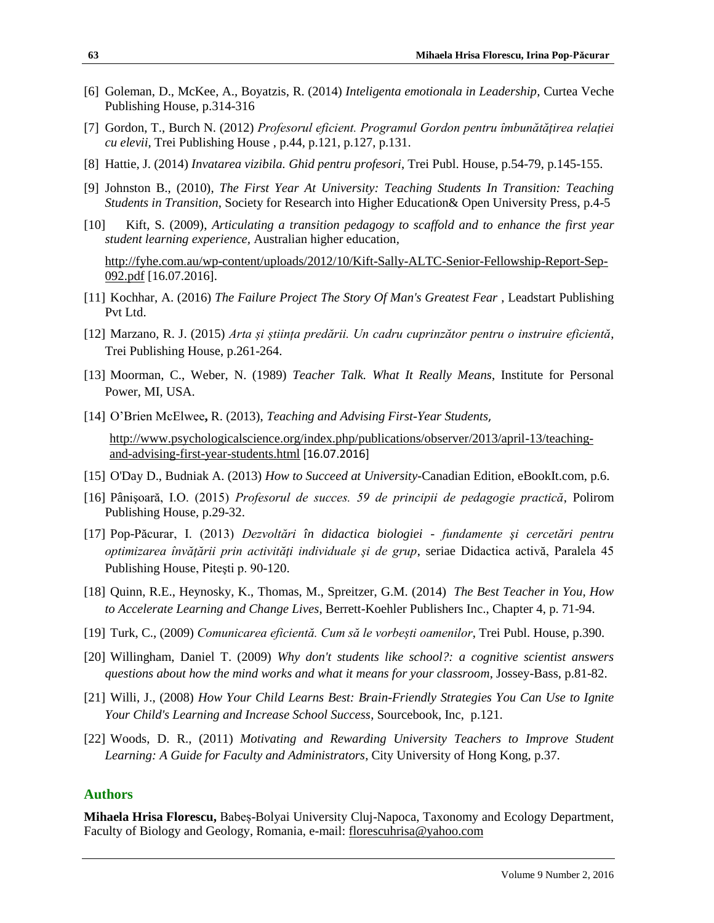- [6] Goleman, D., McKee, A., Boyatzis, R. (2014) *Inteligenta emotionala in Leadership,* Curtea Veche Publishing House, p.314-316
- [7] Gordon, T., Burch N. (2012) *Profesorul eficient. Programul Gordon pentru îmbunătăţirea relaţiei cu elevii*, Trei Publishing House , p.44, p.121, p.127, p.131.
- [8] Hattie, J. (2014) *Invatarea vizibila. Ghid pentru profesori*, Trei Publ. House, p.54-79, p.145-155.
- [9] Johnston B., (2010), *The First Year At University: Teaching Students In Transition: Teaching Students in Transition*, Society for Research into Higher Education& Open University Press, p.4-5
- [10] Kift, S. (2009), *Articulating a transition pedagogy to scaffold and to enhance the first year student learning experience,* Australian higher education*,*

[http://fyhe.com.au/wp-content/uploads/2012/10/Kift-Sally-ALTC-Senior-Fellowship-Report-Sep-](http://fyhe.com.au/wp-content/uploads/2012/10/Kift-Sally-ALTC-Senior-Fellowship-Report-Sep-092.pdf)[092.pdf](http://fyhe.com.au/wp-content/uploads/2012/10/Kift-Sally-ALTC-Senior-Fellowship-Report-Sep-092.pdf) [16.07.2016].

- [11] Kochhar, A. (2016) *The Failure Project The Story Of Man's Greatest Fear* , Leadstart Publishing Pvt Ltd.
- [12] Marzano, R. J. (2015) *Arta și știința predării. Un cadru cuprinzător pentru o instruire eficientă*, Trei Publishing House, p.261-264.
- [13] Moorman, C., Weber, N. (1989) *Teacher Talk. What It Really Means*, Institute for Personal Power, MI, USA.
- [14] [O'Brien McElwee](http://www.psychologicalscience.org/index.php/?s=Rory%20O%E2%80%99Brien+McElwee)**,** R. (2013), *[Teaching and Advising First-Year Students](http://www.psychologicalscience.org/index.php/publications/observer/2013/april-13/teaching-and-advising-first-year-students.html)*,

[http://www.psychologicalscience.org/index.php/publications/observer/2013/april-13/teaching](http://www.psychologicalscience.org/index.php/publications/observer/2013/april-13/teaching-and-advising-first-year-students.html)[and-advising-first-year-students.html](http://www.psychologicalscience.org/index.php/publications/observer/2013/april-13/teaching-and-advising-first-year-students.html) [16.07.2016]

- [15] O'Day D., Budniak A. (2013) *How to Succeed at University-*Canadian Edition, eBookIt.com, p.6.
- [16] Pânişoară, I.O. (2015) *Profesorul de succes. 59 de principii de pedagogie practică*, Polirom Publishing House, p.29-32.
- [17] Pop-Păcurar, I. (2013) *Dezvoltări în didactica biologiei - fundamente şi cercetări pentru optimizarea învăţării prin activităţi individuale şi de grup*, seriae Didactica activă, Paralela 45 Publishing House, Piteşti p. 90-120.
- [18] Quinn, R.E., Heynosky, K., Thomas, M., Spreitzer, G.M. (2014) *The Best Teacher in You, How to Accelerate Learning and Change Lives*, Berrett-Koehler Publishers Inc., Chapter 4, p. 71-94.
- [19] Turk, C., (2009) *Comunicarea eficientă. Cum să le vorbești oamenilor*, Trei Publ. House, p.390.
- [20] Willingham, Daniel T. (2009) *Why don't students like school?: a cognitive scientist answers questions about how the mind works and what it means for your classroom*, Jossey-Bass, p.81-82.
- [21] Willi, J., (2008) *How Your Child Learns Best: Brain-Friendly Strategies You Can Use to Ignite Your Child's Learning and Increase School Success*, Sourcebook, Inc, p.121.
- [22] Woods, D. R., (2011) *Motivating and Rewarding University Teachers to Improve Student Learning: A Guide for Faculty and Administrators*, City University of Hong Kong, p.37.

## **Authors**

**Mihaela Hrisa Florescu,** Babeș-Bolyai University Cluj-Napoca, Taxonomy and Ecology Department, Faculty of Biology and Geology, Romania, e-mail: [florescuhrisa@yahoo.com](mailto:florescuhrisa@yahoo.com)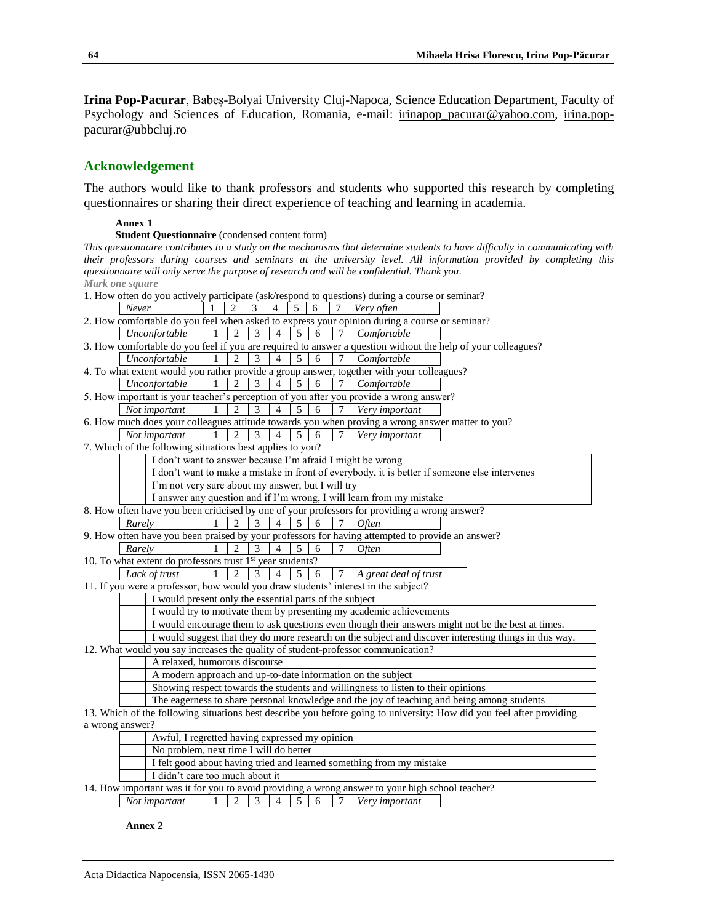**Irina Pop-Pacurar**, Babeș-Bolyai University Cluj-Napoca, Science Education Department, Faculty of Psychology and Sciences of Education, Romania, e-mail: [irinapop\\_pacurar@yahoo.com,](mailto:irinapop_pacurar@yahoo.com) [irina.pop](mailto:irina.pop-pacurar@ubbcluj.ro)[pacurar@ubbcluj.ro](mailto:irina.pop-pacurar@ubbcluj.ro)

## **Acknowledgement**

The authors would like to thank professors and students who supported this research by completing questionnaires or sharing their direct experience of teaching and learning in academia.

#### **Annex 1**

**Student Questionnaire** (condensed content form)

*This questionnaire contributes to a study on the mechanisms that determine students to have difficulty in communicating with their professors during courses and seminars at the university level. All information provided by completing this questionnaire will only serve the purpose of research and will be confidential. Thank you*. *Mark one square*

| 1. How often do you actively participate (ask/respond to questions) during a course or seminar?                                                                                                             |  |  |  |  |  |  |  |
|-------------------------------------------------------------------------------------------------------------------------------------------------------------------------------------------------------------|--|--|--|--|--|--|--|
| Never<br>Very often<br>3<br>5<br>6<br>4                                                                                                                                                                     |  |  |  |  |  |  |  |
| 2. How comfortable do you feel when asked to express your opinion during a course or seminar?                                                                                                               |  |  |  |  |  |  |  |
| $\overline{2}$<br>6<br>Unconfortable<br>$\overline{1}$<br>3<br>$\overline{4}$<br>5<br>$\tau$<br>Comfortable                                                                                                 |  |  |  |  |  |  |  |
| 3. How comfortable do you feel if you are required to answer a question without the help of your colleagues?                                                                                                |  |  |  |  |  |  |  |
| $\overline{4}$<br>Unconfortable<br>$\overline{1}$<br>5<br>6<br>$\tau$<br>Comfortable<br>$\overline{2}$<br>3                                                                                                 |  |  |  |  |  |  |  |
| 4. To what extent would you rather provide a group answer, together with your colleagues?                                                                                                                   |  |  |  |  |  |  |  |
| Unconfortable<br>$\mathbf{1}$<br>$\overline{2}$<br>3<br>$\overline{4}$<br>5<br>6<br>Comfortable                                                                                                             |  |  |  |  |  |  |  |
| 5. How important is your teacher's perception of you after you provide a wrong answer?                                                                                                                      |  |  |  |  |  |  |  |
| $\overline{3}$<br>5<br>6<br>Not important<br>$\overline{c}$<br>$\overline{4}$<br>$\tau$<br>Very important                                                                                                   |  |  |  |  |  |  |  |
| 6. How much does your colleagues attitude towards you when proving a wrong answer matter to you?                                                                                                            |  |  |  |  |  |  |  |
| $\mathfrak{D}$<br>Not important<br>3<br>5<br>6<br>7<br>Very important<br>$\mathbf{1}$<br>4                                                                                                                  |  |  |  |  |  |  |  |
| 7. Which of the following situations best applies to you?                                                                                                                                                   |  |  |  |  |  |  |  |
| I don't want to answer because I'm afraid I might be wrong                                                                                                                                                  |  |  |  |  |  |  |  |
| I don't want to make a mistake in front of everybody, it is better if someone else intervenes                                                                                                               |  |  |  |  |  |  |  |
| I'm not very sure about my answer, but I will try                                                                                                                                                           |  |  |  |  |  |  |  |
| I answer any question and if I'm wrong, I will learn from my mistake                                                                                                                                        |  |  |  |  |  |  |  |
| 8. How often have you been criticised by one of your professors for providing a wrong answer?                                                                                                               |  |  |  |  |  |  |  |
| $\mathfrak{D}$<br>3<br>5<br>6<br>$\overline{4}$<br>7<br>Rarely<br><i>Often</i>                                                                                                                              |  |  |  |  |  |  |  |
| 9. How often have you been praised by your professors for having attempted to provide an answer?                                                                                                            |  |  |  |  |  |  |  |
| Rarely<br>$\mathfrak{D}$<br>3<br>$\overline{4}$<br>5<br>6<br>7<br><i>Often</i>                                                                                                                              |  |  |  |  |  |  |  |
| 10. To what extent do professors trust $1st$ year students?                                                                                                                                                 |  |  |  |  |  |  |  |
| Lack of trust<br>$\mathbf{1}$<br>5<br>$\tau$<br>$\overline{c}$<br>3<br>$\overline{4}$<br>6<br>A great deal of trust                                                                                         |  |  |  |  |  |  |  |
| 11. If you were a professor, how would you draw students' interest in the subject?                                                                                                                          |  |  |  |  |  |  |  |
| I would present only the essential parts of the subject                                                                                                                                                     |  |  |  |  |  |  |  |
| I would try to motivate them by presenting my academic achievements                                                                                                                                         |  |  |  |  |  |  |  |
| I would encourage them to ask questions even though their answers might not be the best at times.<br>I would suggest that they do more research on the subject and discover interesting things in this way. |  |  |  |  |  |  |  |
| 12. What would you say increases the quality of student-professor communication?                                                                                                                            |  |  |  |  |  |  |  |
| A relaxed, humorous discourse                                                                                                                                                                               |  |  |  |  |  |  |  |
| A modern approach and up-to-date information on the subject                                                                                                                                                 |  |  |  |  |  |  |  |
| Showing respect towards the students and willingness to listen to their opinions                                                                                                                            |  |  |  |  |  |  |  |
| The eagerness to share personal knowledge and the joy of teaching and being among students                                                                                                                  |  |  |  |  |  |  |  |
| 13. Which of the following situations best describe you before going to university: How did you feel after providing                                                                                        |  |  |  |  |  |  |  |
| a wrong answer?                                                                                                                                                                                             |  |  |  |  |  |  |  |
| Awful, I regretted having expressed my opinion                                                                                                                                                              |  |  |  |  |  |  |  |
| No problem, next time I will do better                                                                                                                                                                      |  |  |  |  |  |  |  |
| I felt good about having tried and learned something from my mistake                                                                                                                                        |  |  |  |  |  |  |  |

I didn't care too much about it

14. How important was it for you to avoid providing a wrong answer to your high school teacher?

*Not important* 1 2 3 4 5 6 7 *Very important*

**Annex 2**